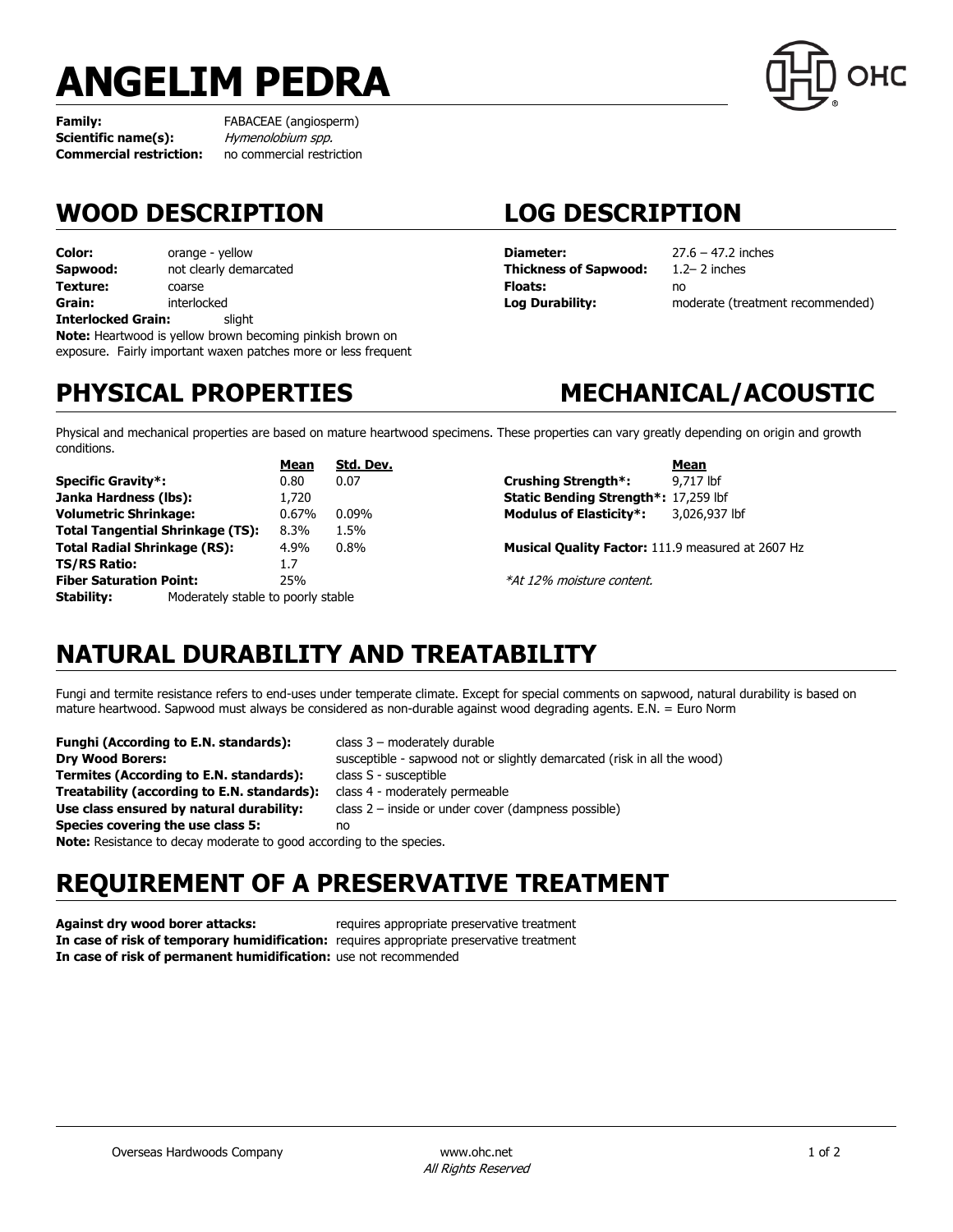# **ANGELIM PEDRA**

**Family:** FABACEAE (angiosperm) **Scientific name(s):** Hymenolobium spp. **Commercial restriction:** no commercial restriction

## **WOOD DESCRIPTION LOG DESCRIPTION**

**Color:** orange - yellow **Sapwood:** not clearly demarcated **Texture:** coarse **Grain:** interlocked **Interlocked Grain:** slight **Note:** Heartwood is yellow brown becoming pinkish brown on

exposure. Fairly important waxen patches more or less frequent

**Diameter:** 27.6 – 47.2 inches **Thickness of Sapwood:** 1.2– 2 inches **Floats:** no

**Log Durability:** moderate (treatment recommended)

## **PHYSICAL PROPERTIES MECHANICAL/ACOUSTIC**

Physical and mechanical properties are based on mature heartwood specimens. These properties can vary greatly depending on origin and growth conditions.

|                                         |                                    | Mean  | Std. Dev. |  |
|-----------------------------------------|------------------------------------|-------|-----------|--|
| <b>Specific Gravity*:</b>               |                                    | 0.80  | 0.07      |  |
| Janka Hardness (lbs):                   |                                    | 1,720 |           |  |
| <b>Volumetric Shrinkage:</b>            |                                    | 0.67% | 0.09%     |  |
| <b>Total Tangential Shrinkage (TS):</b> |                                    | 8.3%  | 1.5%      |  |
| <b>Total Radial Shrinkage (RS):</b>     |                                    | 4.9%  | 0.8%      |  |
| <b>TS/RS Ratio:</b>                     |                                    | 17    |           |  |
| <b>Fiber Saturation Point:</b>          |                                    | 25%   |           |  |
| <b>Stability:</b>                       | Moderately stable to poorly stable |       |           |  |

**Mean Crushing Strength\*:** 9,717 lbf **Static Bending Strength\*:** 17,259 lbf **Modulus of Elasticity\*:** 3,026,937 lbf

**Musical Quality Factor:** 111.9 measured at 2607 Hz

\*At 12% moisture content.

## **NATURAL DURABILITY AND TREATABILITY**

Fungi and termite resistance refers to end-uses under temperate climate. Except for special comments on sapwood, natural durability is based on mature heartwood. Sapwood must always be considered as non-durable against wood degrading agents. E.N. = Euro Norm

**Funghi (According to E.N. standards):** class 3 – moderately durable **Dry Wood Borers:** susceptible - sapwood not or slightly demarcated (risk in all the wood) **Termites (According to E.N. standards):** class S - susceptible **Treatability (according to E.N. standards):** class 4 - moderately permeable **Use class ensured by natural durability:** class 2 – inside or under cover (dampness possible) **Species covering the use class 5:** no **Note:** Resistance to decay moderate to good according to the species.

## **REQUIREMENT OF A PRESERVATIVE TREATMENT**

**Against dry wood borer attacks:** requires appropriate preservative treatment **In case of risk of temporary humidification:** requires appropriate preservative treatment **In case of risk of permanent humidification:** use not recommended